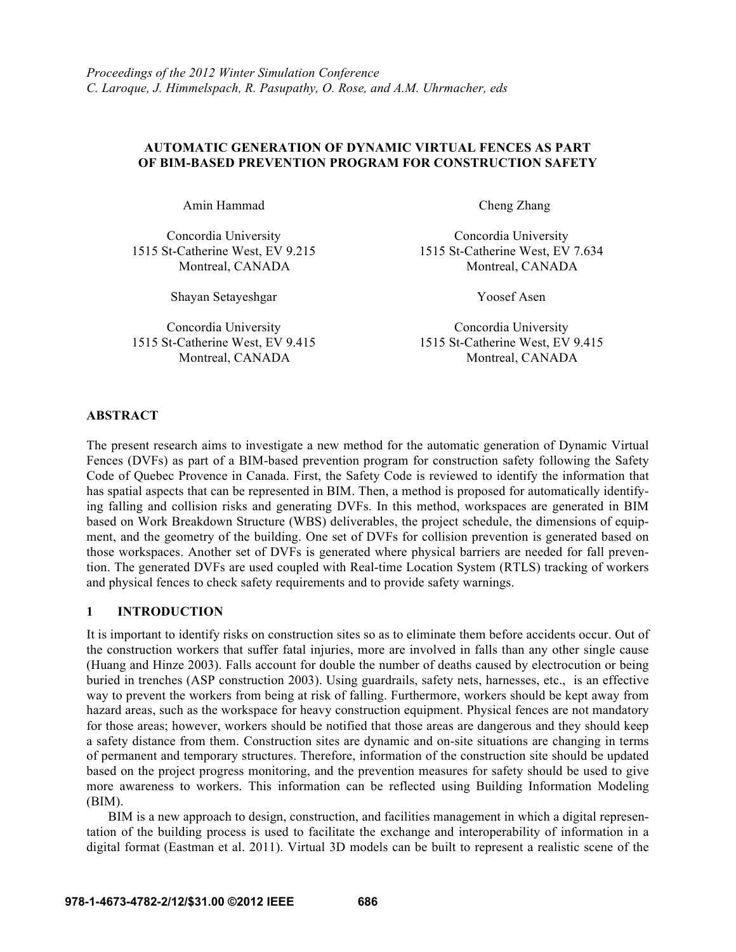### **AUTOMATIC GENERATION OF DYNAMIC VIRTUAL FENCES AS PART OF BIM-BASED PREVENTION PROGRAM FOR CONSTRUCTION SAFETY**

Amin Hammad

Concordia University 1515 St-Catherine West, EV 9.215 Montreal, CANADA

Shayan Setayeshgar

Concordia University 1515 St-Catherine West, EV 9.415 Montreal, CANADA

Cheng Zhang

Concordia University 1515 St-Catherine West, EV 7.634 Montreal, CANADA

Yoosef Asen

Concordia University 1515 St-Catherine West, EV 9.415 Montreal, CANADA

## **ABSTRACT**

The present research aims to investigate a new method for the automatic generation of Dynamic Virtual Fences (DVFs) as part of a BIM-based prevention program for construction safety following the Safety Code of Quebec Provence in Canada. First, the Safety Code is reviewed to identify the information that has spatial aspects that can be represented in BIM. Then, a method is proposed for automatically identifying falling and collision risks and generating DVFs. In this method, workspaces are generated in BIM based on Work Breakdown Structure (WBS) deliverables, the project schedule, the dimensions of equipment, and the geometry of the building. One set of DVFs for collision prevention is generated based on those workspaces. Another set of DVFs is generated where physical barriers are needed for fall prevention. The generated DVFs are used coupled with Real-time Location System (RTLS) tracking of workers and physical fences to check safety requirements and to provide safety warnings.

## **1 INTRODUCTION**

It is important to identify risks on construction sites so as to eliminate them before accidents occur. Out of the construction workers that suffer fatal injuries, more are involved in falls than any other single cause (Huang and Hinze 2003). Falls account for double the number of deaths caused by electrocution or being buried in trenches (ASP construction 2003). Using guardrails, safety nets, harnesses, etc., is an effective way to prevent the workers from being at risk of falling. Furthermore, workers should be kept away from hazard areas, such as the workspace for heavy construction equipment. Physical fences are not mandatory for those areas; however, workers should be notified that those areas are dangerous and they should keep a safety distance from them. Construction sites are dynamic and on-site situations are changing in terms of permanent and temporary structures. Therefore, information of the construction site should be updated based on the project progress monitoring, and the prevention measures for safety should be used to give more awareness to workers. This information can be reflected using Building Information Modeling (BIM).

BIM is a new approach to design, construction, and facilities management in which a digital representation of the building process is used to facilitate the exchange and interoperability of information in a digital format (Eastman et al. 2011). Virtual 3D models can be built to represent a realistic scene of the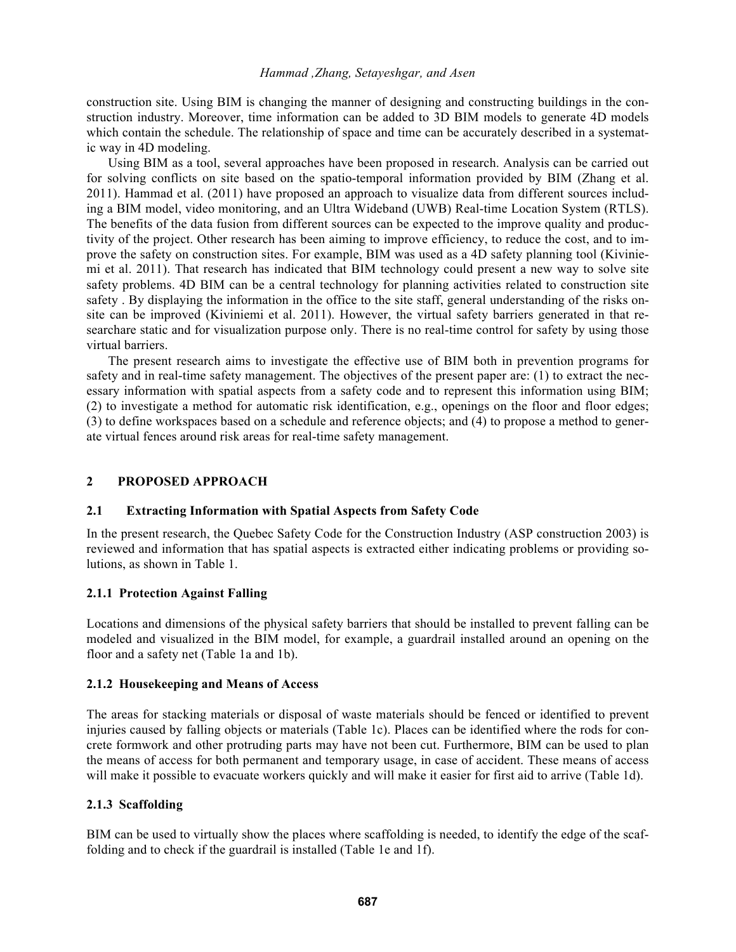construction site. Using BIM is changing the manner of designing and constructing buildings in the construction industry. Moreover, time information can be added to 3D BIM models to generate 4D models which contain the schedule. The relationship of space and time can be accurately described in a systematic way in 4D modeling.

Using BIM as a tool, several approaches have been proposed in research. Analysis can be carried out for solving conflicts on site based on the spatio-temporal information provided by BIM (Zhang et al. 2011). Hammad et al. (2011) have proposed an approach to visualize data from different sources including a BIM model, video monitoring, and an Ultra Wideband (UWB) Real-time Location System (RTLS). The benefits of the data fusion from different sources can be expected to the improve quality and productivity of the project. Other research has been aiming to improve efficiency, to reduce the cost, and to improve the safety on construction sites. For example, BIM was used as a 4D safety planning tool (Kiviniemi et al. 2011). That research has indicated that BIM technology could present a new way to solve site safety problems. 4D BIM can be a central technology for planning activities related to construction site safety . By displaying the information in the office to the site staff, general understanding of the risks onsite can be improved (Kiviniemi et al. 2011). However, the virtual safety barriers generated in that researchare static and for visualization purpose only. There is no real-time control for safety by using those virtual barriers.

The present research aims to investigate the effective use of BIM both in prevention programs for safety and in real-time safety management. The objectives of the present paper are: (1) to extract the necessary information with spatial aspects from a safety code and to represent this information using BIM; (2) to investigate a method for automatic risk identification, e.g., openings on the floor and floor edges; (3) to define workspaces based on a schedule and reference objects; and (4) to propose a method to generate virtual fences around risk areas for real-time safety management.

## **2 PROPOSED APPROACH**

## **2.1 Extracting Information with Spatial Aspects from Safety Code**

In the present research, the Quebec Safety Code for the Construction Industry (ASP construction 2003) is reviewed and information that has spatial aspects is extracted either indicating problems or providing solutions, as shown in Table 1.

## **2.1.1 Protection Against Falling**

Locations and dimensions of the physical safety barriers that should be installed to prevent falling can be modeled and visualized in the BIM model, for example, a guardrail installed around an opening on the floor and a safety net (Table 1a and 1b).

## **2.1.2 Housekeeping and Means of Access**

The areas for stacking materials or disposal of waste materials should be fenced or identified to prevent injuries caused by falling objects or materials (Table 1c). Places can be identified where the rods for concrete formwork and other protruding parts may have not been cut. Furthermore, BIM can be used to plan the means of access for both permanent and temporary usage, in case of accident. These means of access will make it possible to evacuate workers quickly and will make it easier for first aid to arrive (Table 1d).

# **2.1.3 Scaffolding**

BIM can be used to virtually show the places where scaffolding is needed, to identify the edge of the scaffolding and to check if the guardrail is installed (Table 1e and 1f).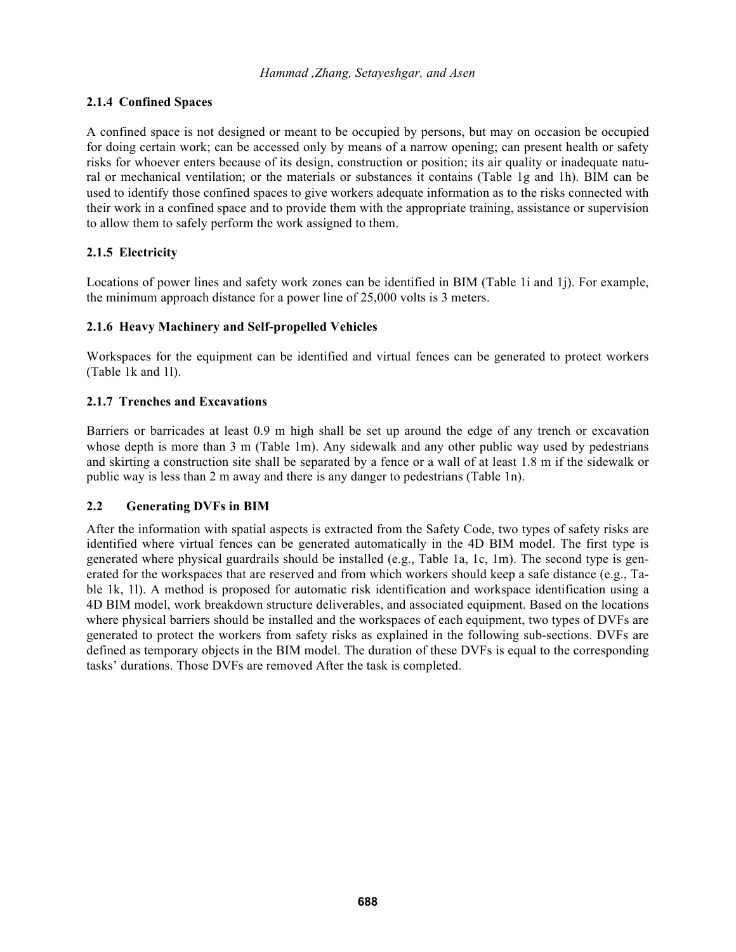# **2.1.4 Confined Spaces**

A confined space is not designed or meant to be occupied by persons, but may on occasion be occupied for doing certain work; can be accessed only by means of a narrow opening; can present health or safety risks for whoever enters because of its design, construction or position; its air quality or inadequate natural or mechanical ventilation; or the materials or substances it contains (Table 1g and 1h). BIM can be used to identify those confined spaces to give workers adequate information as to the risks connected with their work in a confined space and to provide them with the appropriate training, assistance or supervision to allow them to safely perform the work assigned to them.

## **2.1.5 Electricity**

Locations of power lines and safety work zones can be identified in BIM (Table 1i and 1j). For example, the minimum approach distance for a power line of 25,000 volts is 3 meters.

## **2.1.6 Heavy Machinery and Self-propelled Vehicles**

Workspaces for the equipment can be identified and virtual fences can be generated to protect workers (Table 1k and 1l).

## **2.1.7 Trenches and Excavations**

Barriers or barricades at least 0.9 m high shall be set up around the edge of any trench or excavation whose depth is more than 3 m (Table 1m). Any sidewalk and any other public way used by pedestrians and skirting a construction site shall be separated by a fence or a wall of at least 1.8 m if the sidewalk or public way is less than 2 m away and there is any danger to pedestrians (Table 1n).

## **2.2 Generating DVFs in BIM**

After the information with spatial aspects is extracted from the Safety Code, two types of safety risks are identified where virtual fences can be generated automatically in the 4D BIM model. The first type is generated where physical guardrails should be installed (e.g., Table 1a, 1c, 1m). The second type is generated for the workspaces that are reserved and from which workers should keep a safe distance (e.g., Table 1k, 1l). A method is proposed for automatic risk identification and workspace identification using a 4D BIM model, work breakdown structure deliverables, and associated equipment. Based on the locations where physical barriers should be installed and the workspaces of each equipment, two types of DVFs are generated to protect the workers from safety risks as explained in the following sub-sections. DVFs are defined as temporary objects in the BIM model. The duration of these DVFs is equal to the corresponding tasks' durations. Those DVFs are removed After the task is completed.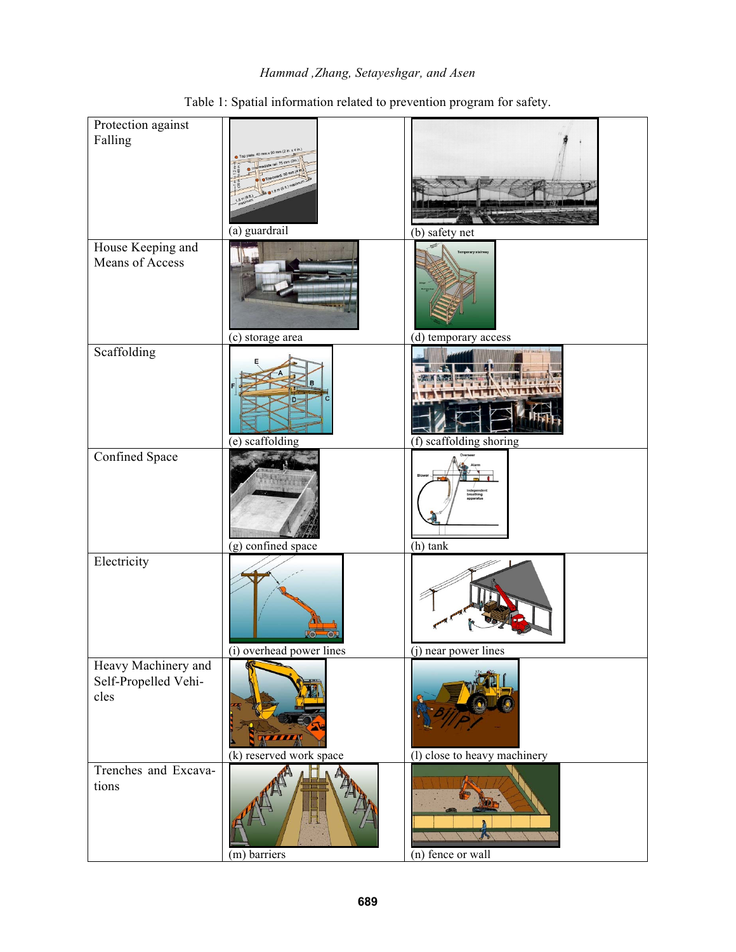| Protection against<br>Falling                       | $(a)$ guardrail                 | (b) safety net               |
|-----------------------------------------------------|---------------------------------|------------------------------|
| House Keeping and<br>Means of Access                | (c) storage area                | (d) temporary access         |
| Scaffolding                                         | (e) scaffolding                 | (f) scaffolding shoring      |
| Confined Space                                      | (g) confined space              | (h) tank                     |
| Electricity                                         | UO)<br>(i) overhead power lines | (j) near power lines         |
| Heavy Machinery and<br>Self-Propelled Vehi-<br>cles | (k) reserved work space         | (l) close to heavy machinery |
| Trenches and Excava-<br>tions                       | (m) barriers                    | (n) fence or wall            |

Table 1: Spatial information related to prevention program for safety.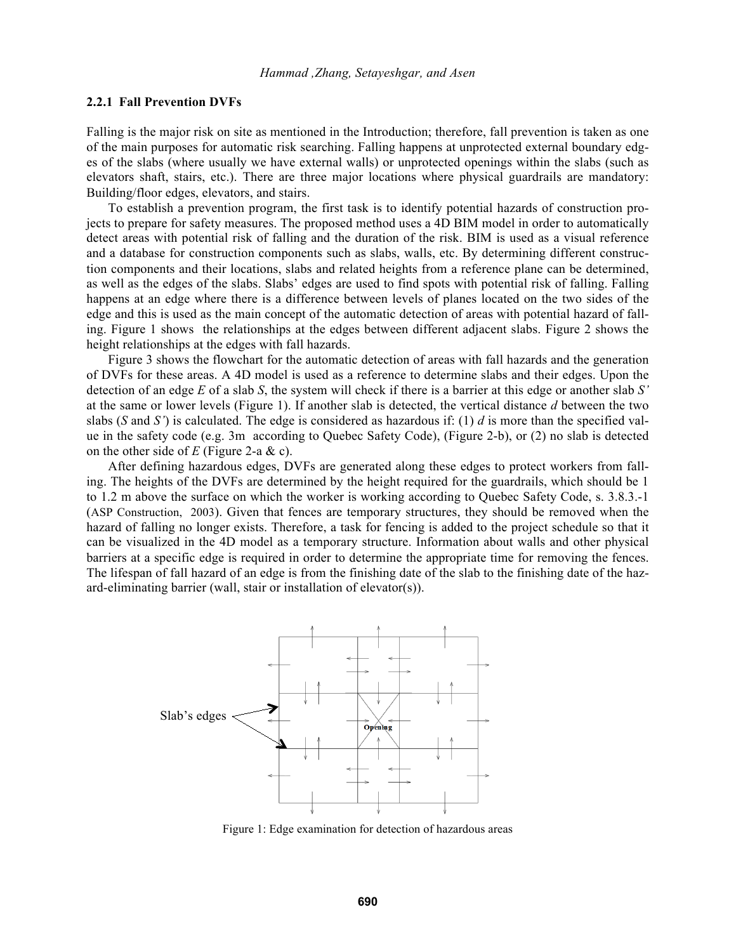#### **2.2.1 Fall Prevention DVFs**

Falling is the major risk on site as mentioned in the Introduction; therefore, fall prevention is taken as one of the main purposes for automatic risk searching. Falling happens at unprotected external boundary edges of the slabs (where usually we have external walls) or unprotected openings within the slabs (such as elevators shaft, stairs, etc.). There are three major locations where physical guardrails are mandatory: Building/floor edges, elevators, and stairs.

 To establish a prevention program, the first task is to identify potential hazards of construction projects to prepare for safety measures. The proposed method uses a 4D BIM model in order to automatically detect areas with potential risk of falling and the duration of the risk. BIM is used as a visual reference and a database for construction components such as slabs, walls, etc. By determining different construction components and their locations, slabs and related heights from a reference plane can be determined, as well as the edges of the slabs. Slabs' edges are used to find spots with potential risk of falling. Falling happens at an edge where there is a difference between levels of planes located on the two sides of the edge and this is used as the main concept of the automatic detection of areas with potential hazard of falling. Figure 1 shows the relationships at the edges between different adjacent slabs. Figure 2 shows the height relationships at the edges with fall hazards.

 Figure 3 shows the flowchart for the automatic detection of areas with fall hazards and the generation of DVFs for these areas. A 4D model is used as a reference to determine slabs and their edges. Upon the detection of an edge *E* of a slab *S*, the system will check if there is a barrier at this edge or another slab *S'* at the same or lower levels (Figure 1). If another slab is detected, the vertical distance *d* between the two slabs (*S* and *S'*) is calculated. The edge is considered as hazardous if: (1) *d* is more than the specified value in the safety code (e.g. 3m according to Quebec Safety Code), (Figure 2-b), or (2) no slab is detected on the other side of *E* (Figure 2-a & c).

 After defining hazardous edges, DVFs are generated along these edges to protect workers from falling. The heights of the DVFs are determined by the height required for the guardrails, which should be 1 to 1.2 m above the surface on which the worker is working according to Quebec Safety Code, s. 3.8.3.-1 (ASP Construction, 2003). Given that fences are temporary structures, they should be removed when the hazard of falling no longer exists. Therefore, a task for fencing is added to the project schedule so that it can be visualized in the 4D model as a temporary structure. Information about walls and other physical barriers at a specific edge is required in order to determine the appropriate time for removing the fences. The lifespan of fall hazard of an edge is from the finishing date of the slab to the finishing date of the hazard-eliminating barrier (wall, stair or installation of elevator(s)).



Figure 1: Edge examination for detection of hazardous areas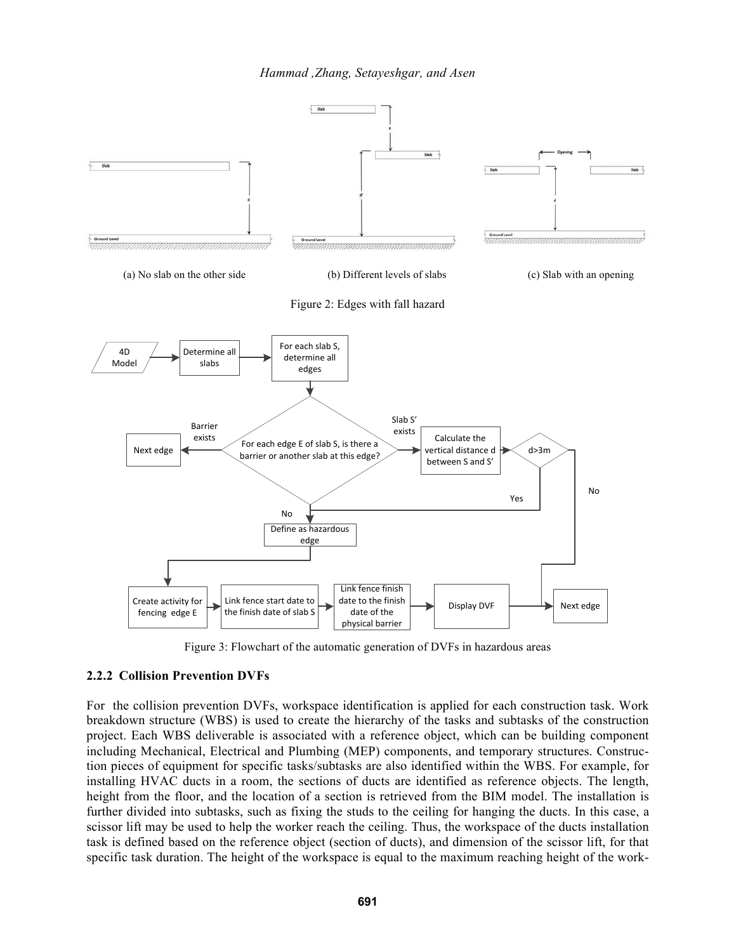

Figure 3: Flowchart of the automatic generation of DVFs in hazardous areas

# **2.2.2 Collision Prevention DVFs**

For the collision prevention DVFs, workspace identification is applied for each construction task. Work breakdown structure (WBS) is used to create the hierarchy of the tasks and subtasks of the construction project. Each WBS deliverable is associated with a reference object, which can be building component including Mechanical, Electrical and Plumbing (MEP) components, and temporary structures. Construction pieces of equipment for specific tasks/subtasks are also identified within the WBS. For example, for installing HVAC ducts in a room, the sections of ducts are identified as reference objects. The length, height from the floor, and the location of a section is retrieved from the BIM model. The installation is further divided into subtasks, such as fixing the studs to the ceiling for hanging the ducts. In this case, a scissor lift may be used to help the worker reach the ceiling. Thus, the workspace of the ducts installation task is defined based on the reference object (section of ducts), and dimension of the scissor lift, for that specific task duration. The height of the workspace is equal to the maximum reaching height of the work-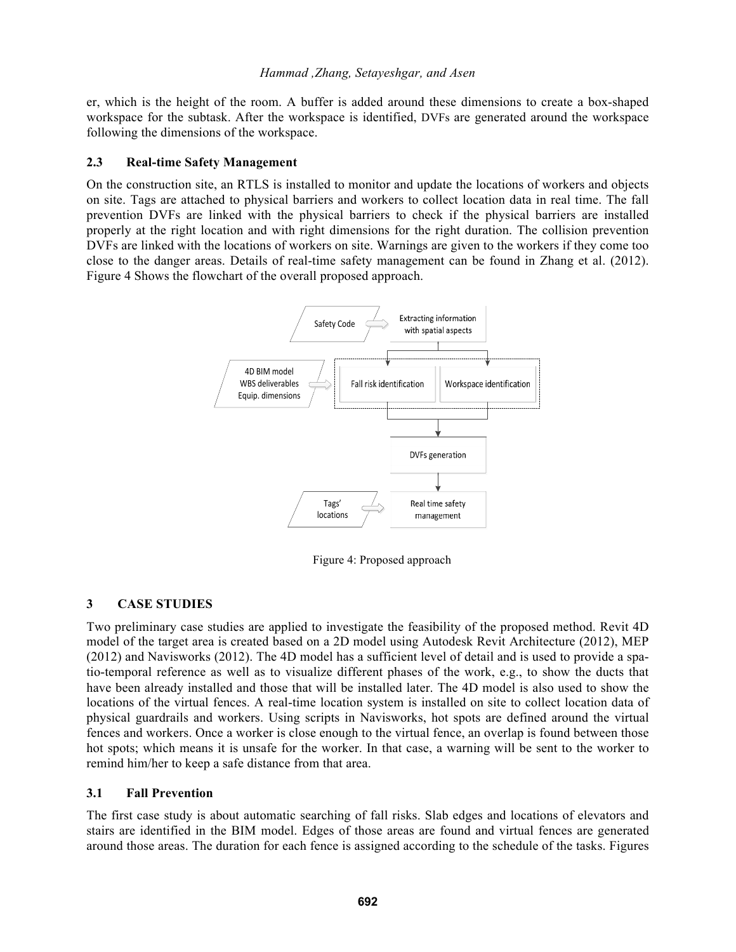er, which is the height of the room. A buffer is added around these dimensions to create a box-shaped workspace for the subtask. After the workspace is identified, DVFs are generated around the workspace following the dimensions of the workspace.

### **2.3 Real-time Safety Management**

On the construction site, an RTLS is installed to monitor and update the locations of workers and objects on site. Tags are attached to physical barriers and workers to collect location data in real time. The fall prevention DVFs are linked with the physical barriers to check if the physical barriers are installed properly at the right location and with right dimensions for the right duration. The collision prevention DVFs are linked with the locations of workers on site. Warnings are given to the workers if they come too close to the danger areas. Details of real-time safety management can be found in Zhang et al. (2012). Figure 4 Shows the flowchart of the overall proposed approach.



Figure 4: Proposed approach

## **3 CASE STUDIES**

Two preliminary case studies are applied to investigate the feasibility of the proposed method. Revit 4D model of the target area is created based on a 2D model using Autodesk Revit Architecture (2012), MEP (2012) and Navisworks (2012). The 4D model has a sufficient level of detail and is used to provide a spatio-temporal reference as well as to visualize different phases of the work, e.g., to show the ducts that have been already installed and those that will be installed later. The 4D model is also used to show the locations of the virtual fences. A real-time location system is installed on site to collect location data of physical guardrails and workers. Using scripts in Navisworks, hot spots are defined around the virtual fences and workers. Once a worker is close enough to the virtual fence, an overlap is found between those hot spots; which means it is unsafe for the worker. In that case, a warning will be sent to the worker to remind him/her to keep a safe distance from that area.

## **3.1 Fall Prevention**

The first case study is about automatic searching of fall risks. Slab edges and locations of elevators and stairs are identified in the BIM model. Edges of those areas are found and virtual fences are generated around those areas. The duration for each fence is assigned according to the schedule of the tasks. Figures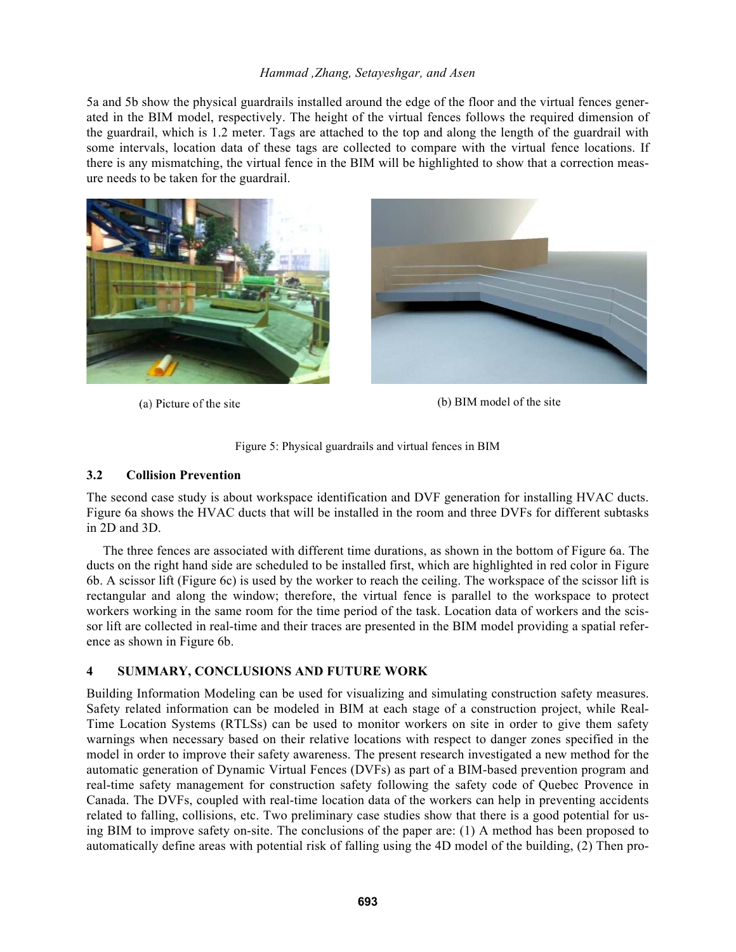5a and 5b show the physical guardrails installed around the edge of the floor and the virtual fences generated in the BIM model, respectively. The height of the virtual fences follows the required dimension of the guardrail, which is 1.2 meter. Tags are attached to the top and along the length of the guardrail with some intervals, location data of these tags are collected to compare with the virtual fence locations. If there is any mismatching, the virtual fence in the BIM will be highlighted to show that a correction measure needs to be taken for the guardrail.





(a) Picture of the site (b) BIM model of the site

Figure 5: Physical guardrails and virtual fences in BIM

### **3.2 Collision Prevention**

The second case study is about workspace identification and DVF generation for installing HVAC ducts. Figure 6a shows the HVAC ducts that will be installed in the room and three DVFs for different subtasks in 2D and 3D.

 The three fences are associated with different time durations, as shown in the bottom of Figure 6a. The ducts on the right hand side are scheduled to be installed first, which are highlighted in red color in Figure 6b. A scissor lift (Figure 6c) is used by the worker to reach the ceiling. The workspace of the scissor lift is rectangular and along the window; therefore, the virtual fence is parallel to the workspace to protect workers working in the same room for the time period of the task. Location data of workers and the scissor lift are collected in real-time and their traces are presented in the BIM model providing a spatial reference as shown in Figure 6b.

## **4 SUMMARY, CONCLUSIONS AND FUTURE WORK**

Building Information Modeling can be used for visualizing and simulating construction safety measures. Safety related information can be modeled in BIM at each stage of a construction project, while Real-Time Location Systems (RTLSs) can be used to monitor workers on site in order to give them safety warnings when necessary based on their relative locations with respect to danger zones specified in the model in order to improve their safety awareness. The present research investigated a new method for the automatic generation of Dynamic Virtual Fences (DVFs) as part of a BIM-based prevention program and real-time safety management for construction safety following the safety code of Quebec Provence in Canada. The DVFs, coupled with real-time location data of the workers can help in preventing accidents related to falling, collisions, etc. Two preliminary case studies show that there is a good potential for using BIM to improve safety on-site. The conclusions of the paper are: (1) A method has been proposed to automatically define areas with potential risk of falling using the 4D model of the building, (2) Then pro-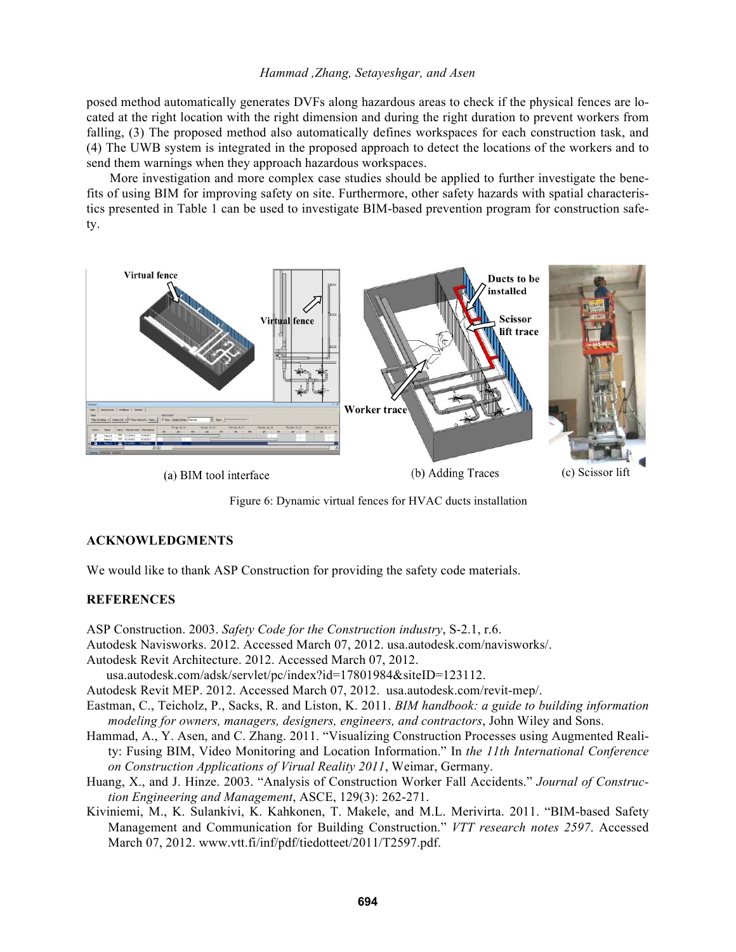posed method automatically generates DVFs along hazardous areas to check if the physical fences are located at the right location with the right dimension and during the right duration to prevent workers from falling, (3) The proposed method also automatically defines workspaces for each construction task, and (4) The UWB system is integrated in the proposed approach to detect the locations of the workers and to send them warnings when they approach hazardous workspaces.

 More investigation and more complex case studies should be applied to further investigate the benefits of using BIM for improving safety on site. Furthermore, other safety hazards with spatial characteristics presented in Table 1 can be used to investigate BIM-based prevention program for construction safety.



Figure 6: Dynamic virtual fences for HVAC ducts installation

### **ACKNOWLEDGMENTS**

We would like to thank ASP Construction for providing the safety code materials.

## **REFERENCES**

ASP Construction. 2003. *Safety Code for the Construction industry*, S-2.1, r.6.

- Autodesk Navisworks. 2012. Accessed March 07, 2012. usa.autodesk.com/navisworks/.
- Autodesk Revit Architecture. 2012. Accessed March 07, 2012.

usa.autodesk.com/adsk/servlet/pc/index?id=17801984&siteID=123112.

Autodesk Revit MEP. 2012. Accessed March 07, 2012. usa.autodesk.com/revit-mep/.

- Eastman, C., Teicholz, P., Sacks, R. and Liston, K. 2011. *BIM handbook: a guide to building information modeling for owners, managers, designers, engineers, and contractors*, John Wiley and Sons.
- Hammad, A., Y. Asen, and C. Zhang. 2011. "Visualizing Construction Processes using Augmented Reality: Fusing BIM, Video Monitoring and Location Information." In *the 11th International Conference on Construction Applications of Virual Reality 2011*, Weimar, Germany.
- Huang, X., and J. Hinze. 2003. "Analysis of Construction Worker Fall Accidents." *Journal of Construction Engineering and Management*, ASCE, 129(3): 262-271.
- Kiviniemi, M., K. Sulankivi, K. Kahkonen, T. Makele, and M.L. Merivirta. 2011. "BIM-based Safety Management and Communication for Building Construction." *VTT research notes 2597*. Accessed March 07, 2012. www.vtt.fi/inf/pdf/tiedotteet/2011/T2597.pdf.